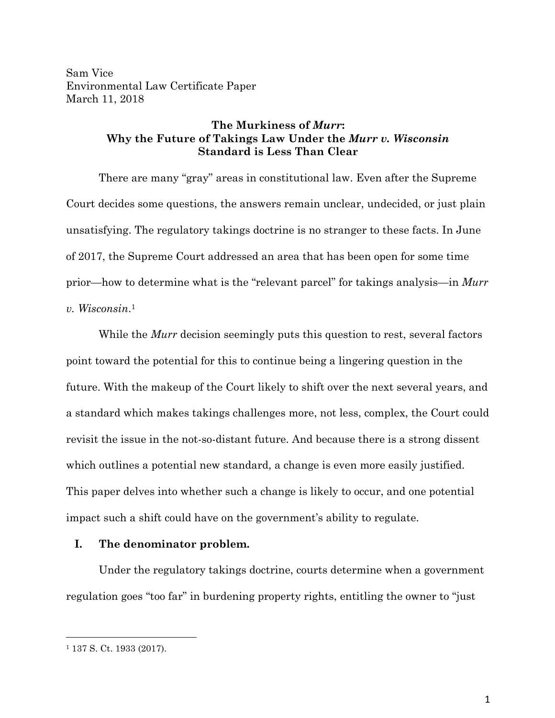Sam Vice Environmental Law Certificate Paper March 11, 2018

# **The Murkiness of** *Murr***: Why the Future of Takings Law Under the** *Murr v. Wisconsin* **Standard is Less Than Clear**

There are many "gray" areas in constitutional law. Even after the Supreme Court decides some questions, the answers remain unclear, undecided, or just plain unsatisfying. The regulatory takings doctrine is no stranger to these facts. In June of 2017, the Supreme Court addressed an area that has been open for some time prior—how to determine what is the "relevant parcel" for takings analysis—in *Murr v. Wisconsin*.1

While the *Murr* decision seemingly puts this question to rest, several factors point toward the potential for this to continue being a lingering question in the future. With the makeup of the Court likely to shift over the next several years, and a standard which makes takings challenges more, not less, complex, the Court could revisit the issue in the not-so-distant future. And because there is a strong dissent which outlines a potential new standard, a change is even more easily justified. This paper delves into whether such a change is likely to occur, and one potential impact such a shift could have on the government's ability to regulate.

# **I. The denominator problem.**

Under the regulatory takings doctrine, courts determine when a government regulation goes "too far" in burdening property rights, entitling the owner to "just

<sup>1</sup> 137 S. Ct. 1933 (2017).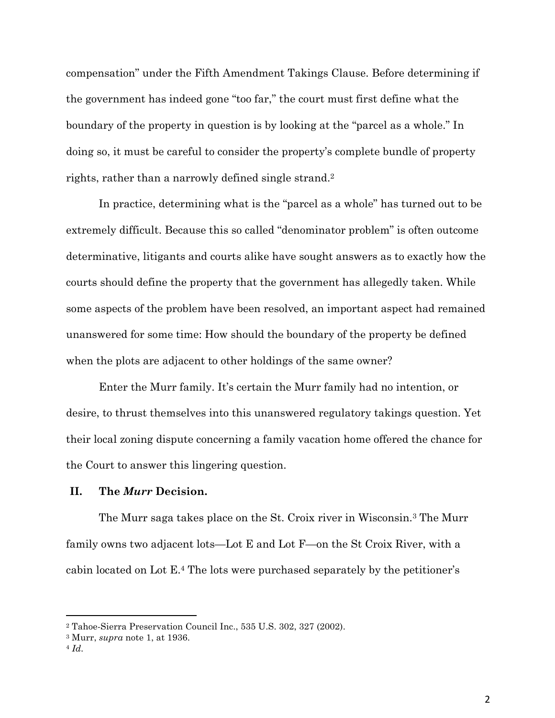compensation" under the Fifth Amendment Takings Clause. Before determining if the government has indeed gone "too far," the court must first define what the boundary of the property in question is by looking at the "parcel as a whole." In doing so, it must be careful to consider the property's complete bundle of property rights, rather than a narrowly defined single strand.<sup>2</sup>

In practice, determining what is the "parcel as a whole" has turned out to be extremely difficult. Because this so called "denominator problem" is often outcome determinative, litigants and courts alike have sought answers as to exactly how the courts should define the property that the government has allegedly taken. While some aspects of the problem have been resolved, an important aspect had remained unanswered for some time: How should the boundary of the property be defined when the plots are adjacent to other holdings of the same owner?

Enter the Murr family. It's certain the Murr family had no intention, or desire, to thrust themselves into this unanswered regulatory takings question. Yet their local zoning dispute concerning a family vacation home offered the chance for the Court to answer this lingering question.

### **II. The** *Murr* **Decision.**

The Murr saga takes place on the St. Croix river in Wisconsin.3 The Murr family owns two adjacent lots—Lot E and Lot F—on the St Croix River, with a cabin located on Lot E.4 The lots were purchased separately by the petitioner's

<sup>2</sup> Tahoe-Sierra Preservation Council Inc., 535 U.S. 302, 327 (2002).

<sup>3</sup> Murr, *supra* note 1, at 1936.

<sup>4</sup> *Id.*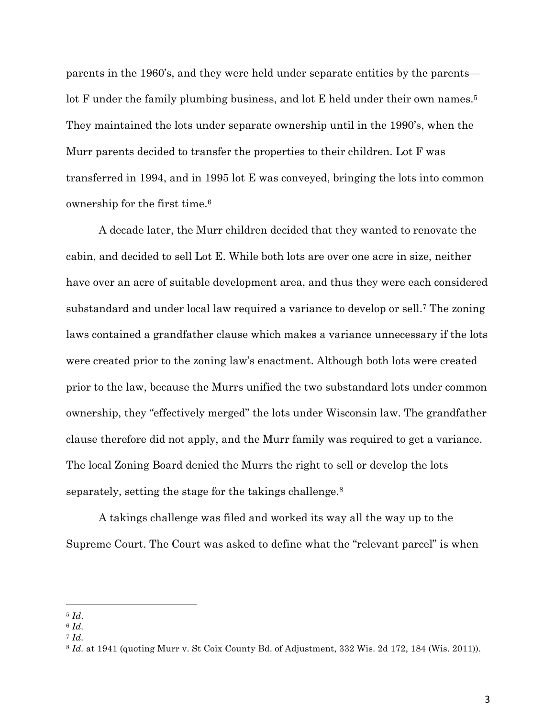parents in the 1960's, and they were held under separate entities by the parents lot F under the family plumbing business, and lot E held under their own names.<sup>5</sup> They maintained the lots under separate ownership until in the 1990's, when the Murr parents decided to transfer the properties to their children. Lot F was transferred in 1994, and in 1995 lot E was conveyed, bringing the lots into common ownership for the first time.6

A decade later, the Murr children decided that they wanted to renovate the cabin, and decided to sell Lot E. While both lots are over one acre in size, neither have over an acre of suitable development area, and thus they were each considered substandard and under local law required a variance to develop or sell.7 The zoning laws contained a grandfather clause which makes a variance unnecessary if the lots were created prior to the zoning law's enactment. Although both lots were created prior to the law, because the Murrs unified the two substandard lots under common ownership, they "effectively merged" the lots under Wisconsin law. The grandfather clause therefore did not apply, and the Murr family was required to get a variance. The local Zoning Board denied the Murrs the right to sell or develop the lots separately, setting the stage for the takings challenge.<sup>8</sup>

A takings challenge was filed and worked its way all the way up to the Supreme Court. The Court was asked to define what the "relevant parcel" is when

 <sup>5</sup> *Id*.

<sup>6</sup> *Id.*

<sup>7</sup> *Id.*

<sup>8</sup> *Id.* at 1941 (quoting Murr v. St Coix County Bd. of Adjustment, 332 Wis. 2d 172, 184 (Wis. 2011)).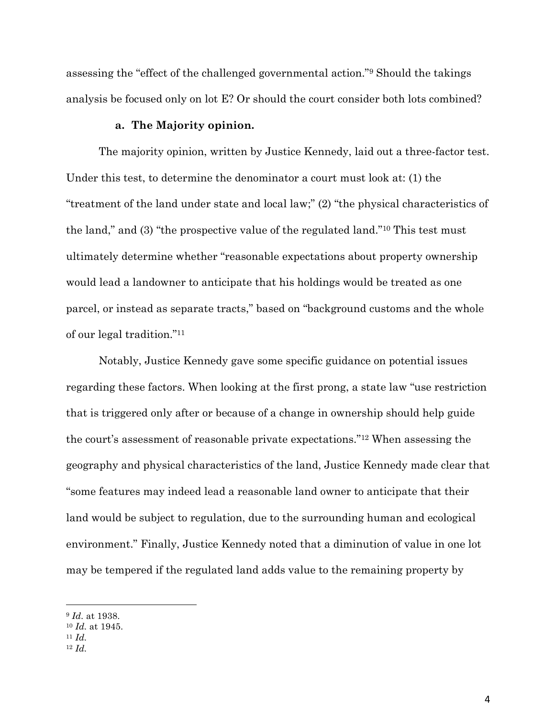assessing the "effect of the challenged governmental action."9 Should the takings analysis be focused only on lot E? Or should the court consider both lots combined?

## **a. The Majority opinion.**

The majority opinion, written by Justice Kennedy, laid out a three-factor test. Under this test, to determine the denominator a court must look at: (1) the "treatment of the land under state and local law;" (2) "the physical characteristics of the land," and (3) "the prospective value of the regulated land."10 This test must ultimately determine whether "reasonable expectations about property ownership would lead a landowner to anticipate that his holdings would be treated as one parcel, or instead as separate tracts," based on "background customs and the whole of our legal tradition."11

Notably, Justice Kennedy gave some specific guidance on potential issues regarding these factors. When looking at the first prong, a state law "use restriction that is triggered only after or because of a change in ownership should help guide the court's assessment of reasonable private expectations."12 When assessing the geography and physical characteristics of the land, Justice Kennedy made clear that "some features may indeed lead a reasonable land owner to anticipate that their land would be subject to regulation, due to the surrounding human and ecological environment." Finally, Justice Kennedy noted that a diminution of value in one lot may be tempered if the regulated land adds value to the remaining property by

<sup>9</sup> *Id.* at 1938.

<sup>10</sup> *Id.* at 1945. 11 *Id.*

<sup>12</sup> *Id.*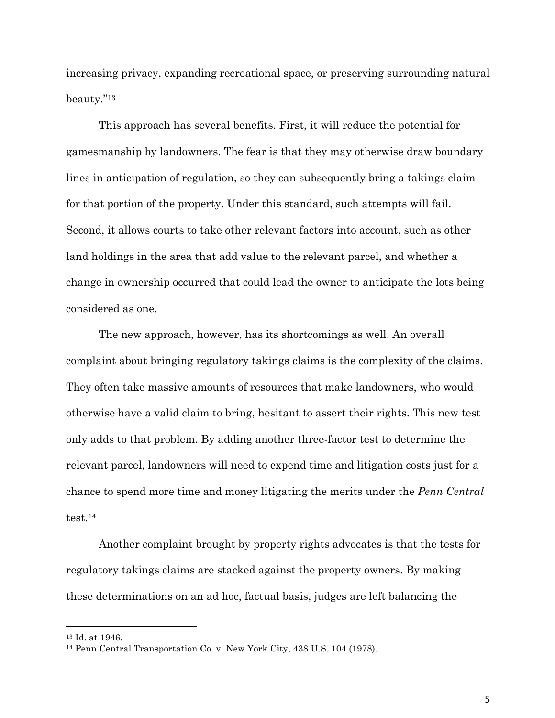increasing privacy, expanding recreational space, or preserving surrounding natural beauty."13

This approach has several benefits. First, it will reduce the potential for gamesmanship by landowners. The fear is that they may otherwise draw boundary lines in anticipation of regulation, so they can subsequently bring a takings claim for that portion of the property. Under this standard, such attempts will fail. Second, it allows courts to take other relevant factors into account, such as other land holdings in the area that add value to the relevant parcel, and whether a change in ownership occurred that could lead the owner to anticipate the lots being considered as one.

The new approach, however, has its shortcomings as well. An overall complaint about bringing regulatory takings claims is the complexity of the claims. They often take massive amounts of resources that make landowners, who would otherwise have a valid claim to bring, hesitant to assert their rights. This new test only adds to that problem. By adding another three-factor test to determine the relevant parcel, landowners will need to expend time and litigation costs just for a chance to spend more time and money litigating the merits under the *Penn Central* test.14

Another complaint brought by property rights advocates is that the tests for regulatory takings claims are stacked against the property owners. By making these determinations on an ad hoc, factual basis, judges are left balancing the

<sup>13</sup> Id. at 1946. 14 Penn Central Transportation Co. v. New York City, 438 U.S. 104 (1978).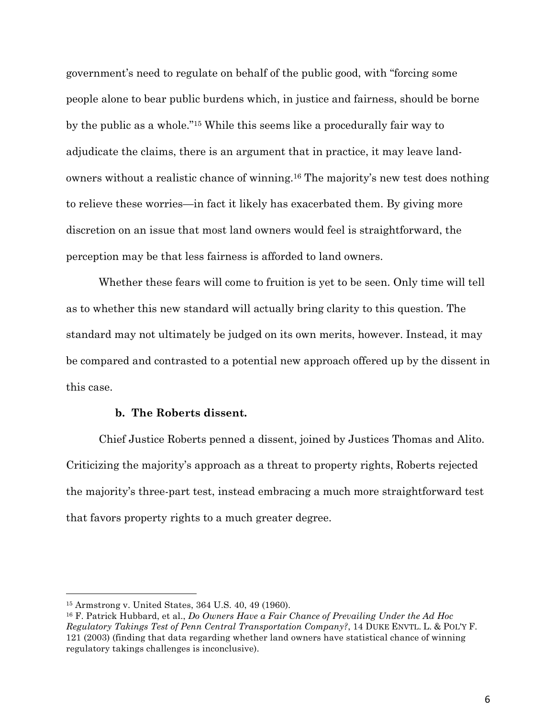government's need to regulate on behalf of the public good, with "forcing some people alone to bear public burdens which, in justice and fairness, should be borne by the public as a whole."15 While this seems like a procedurally fair way to adjudicate the claims, there is an argument that in practice, it may leave landowners without a realistic chance of winning.16 The majority's new test does nothing to relieve these worries—in fact it likely has exacerbated them. By giving more discretion on an issue that most land owners would feel is straightforward, the perception may be that less fairness is afforded to land owners.

Whether these fears will come to fruition is yet to be seen. Only time will tell as to whether this new standard will actually bring clarity to this question. The standard may not ultimately be judged on its own merits, however. Instead, it may be compared and contrasted to a potential new approach offered up by the dissent in this case.

## **b. The Roberts dissent.**

Chief Justice Roberts penned a dissent, joined by Justices Thomas and Alito. Criticizing the majority's approach as a threat to property rights, Roberts rejected the majority's three-part test, instead embracing a much more straightforward test that favors property rights to a much greater degree.

<sup>15</sup> Armstrong v. United States, 364 U.S. 40, 49 (1960).

<sup>16</sup> F. Patrick Hubbard, et al., *Do Owners Have a Fair Chance of Prevailing Under the Ad Hoc Regulatory Takings Test of Penn Central Transportation Company?*, 14 DUKE ENVTL. L. & POL'Y F. 121 (2003) (finding that data regarding whether land owners have statistical chance of winning regulatory takings challenges is inconclusive).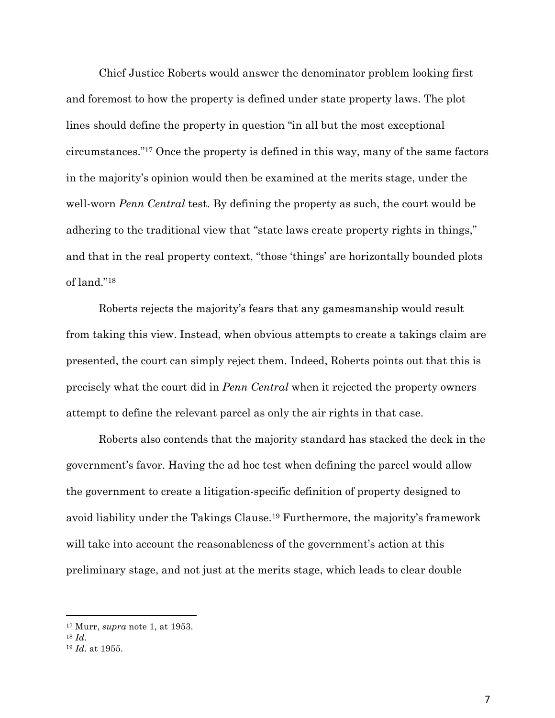Chief Justice Roberts would answer the denominator problem looking first and foremost to how the property is defined under state property laws. The plot lines should define the property in question "in all but the most exceptional circumstances."17 Once the property is defined in this way, many of the same factors in the majority's opinion would then be examined at the merits stage, under the well-worn *Penn Central* test. By defining the property as such, the court would be adhering to the traditional view that "state laws create property rights in things," and that in the real property context, "those 'things' are horizontally bounded plots of land."18

Roberts rejects the majority's fears that any gamesmanship would result from taking this view. Instead, when obvious attempts to create a takings claim are presented, the court can simply reject them. Indeed, Roberts points out that this is precisely what the court did in *Penn Central* when it rejected the property owners attempt to define the relevant parcel as only the air rights in that case.

Roberts also contends that the majority standard has stacked the deck in the government's favor. Having the ad hoc test when defining the parcel would allow the government to create a litigation-specific definition of property designed to avoid liability under the Takings Clause.19 Furthermore, the majority's framework will take into account the reasonableness of the government's action at this preliminary stage, and not just at the merits stage, which leads to clear double

 <sup>17</sup> Murr, *supra* note 1, at 1953.

<sup>18</sup> *Id.*

<sup>19</sup> *Id.* at 1955.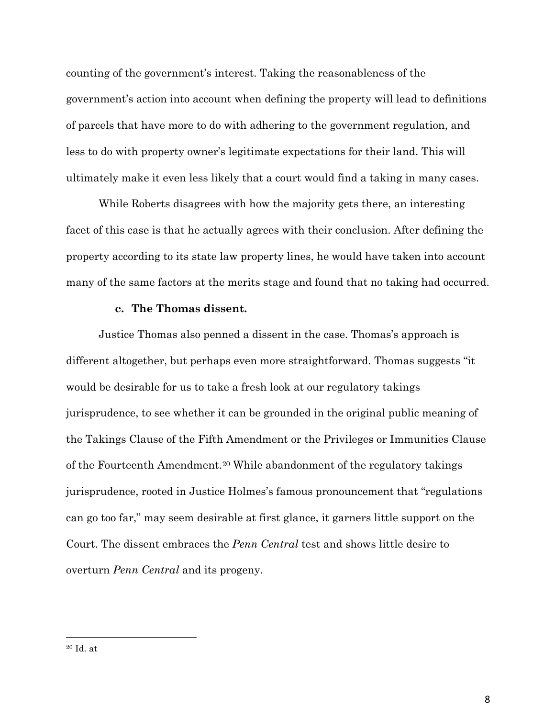counting of the government's interest. Taking the reasonableness of the government's action into account when defining the property will lead to definitions of parcels that have more to do with adhering to the government regulation, and less to do with property owner's legitimate expectations for their land. This will ultimately make it even less likely that a court would find a taking in many cases.

While Roberts disagrees with how the majority gets there, an interesting facet of this case is that he actually agrees with their conclusion. After defining the property according to its state law property lines, he would have taken into account many of the same factors at the merits stage and found that no taking had occurred.

## **c. The Thomas dissent.**

Justice Thomas also penned a dissent in the case. Thomas's approach is different altogether, but perhaps even more straightforward. Thomas suggests "it would be desirable for us to take a fresh look at our regulatory takings jurisprudence, to see whether it can be grounded in the original public meaning of the Takings Clause of the Fifth Amendment or the Privileges or Immunities Clause of the Fourteenth Amendment.20 While abandonment of the regulatory takings jurisprudence, rooted in Justice Holmes's famous pronouncement that "regulations can go too far," may seem desirable at first glance, it garners little support on the Court. The dissent embraces the *Penn Central* test and shows little desire to overturn *Penn Central* and its progeny.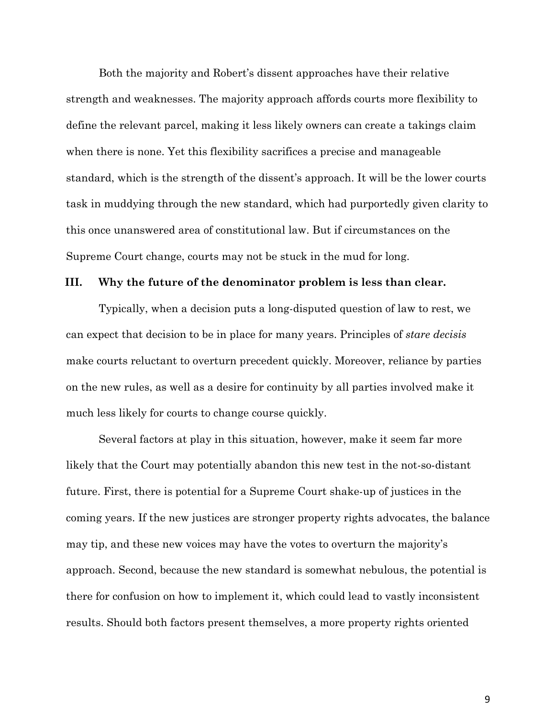Both the majority and Robert's dissent approaches have their relative strength and weaknesses. The majority approach affords courts more flexibility to define the relevant parcel, making it less likely owners can create a takings claim when there is none. Yet this flexibility sacrifices a precise and manageable standard, which is the strength of the dissent's approach. It will be the lower courts task in muddying through the new standard, which had purportedly given clarity to this once unanswered area of constitutional law. But if circumstances on the Supreme Court change, courts may not be stuck in the mud for long.

### **III. Why the future of the denominator problem is less than clear.**

Typically, when a decision puts a long-disputed question of law to rest, we can expect that decision to be in place for many years. Principles of *stare decisis* make courts reluctant to overturn precedent quickly. Moreover, reliance by parties on the new rules, as well as a desire for continuity by all parties involved make it much less likely for courts to change course quickly.

Several factors at play in this situation, however, make it seem far more likely that the Court may potentially abandon this new test in the not-so-distant future. First, there is potential for a Supreme Court shake-up of justices in the coming years. If the new justices are stronger property rights advocates, the balance may tip, and these new voices may have the votes to overturn the majority's approach. Second, because the new standard is somewhat nebulous, the potential is there for confusion on how to implement it, which could lead to vastly inconsistent results. Should both factors present themselves, a more property rights oriented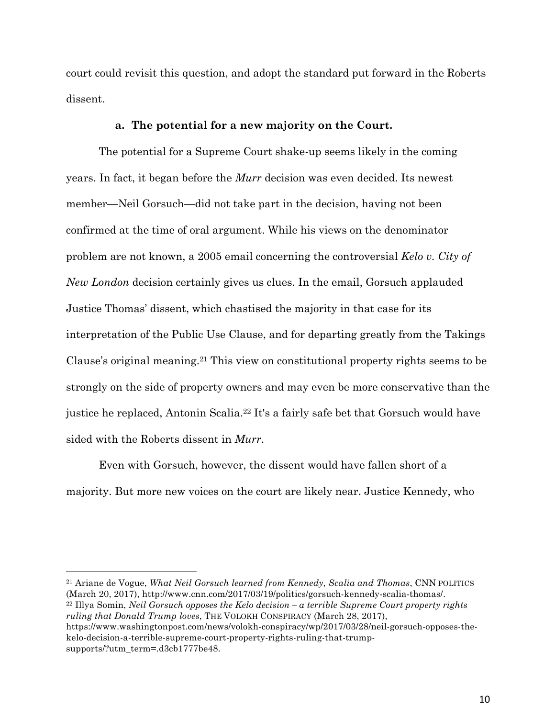court could revisit this question, and adopt the standard put forward in the Roberts dissent.

## **a. The potential for a new majority on the Court.**

The potential for a Supreme Court shake-up seems likely in the coming years. In fact, it began before the *Murr* decision was even decided. Its newest member—Neil Gorsuch—did not take part in the decision, having not been confirmed at the time of oral argument. While his views on the denominator problem are not known, a 2005 email concerning the controversial *Kelo v. City of New London* decision certainly gives us clues. In the email, Gorsuch applauded Justice Thomas' dissent, which chastised the majority in that case for its interpretation of the Public Use Clause, and for departing greatly from the Takings Clause's original meaning.21 This view on constitutional property rights seems to be strongly on the side of property owners and may even be more conservative than the justice he replaced, Antonin Scalia.22 It's a fairly safe bet that Gorsuch would have sided with the Roberts dissent in *Murr*.

Even with Gorsuch, however, the dissent would have fallen short of a majority. But more new voices on the court are likely near. Justice Kennedy, who

<sup>21</sup> Ariane de Vogue, *What Neil Gorsuch learned from Kennedy, Scalia and Thomas*, CNN POLITICS

 

(March 20, 2017), http://www.cnn.com/2017/03/19/politics/gorsuch-kennedy-scalia-thomas/. 22 Illya Somin, *Neil Gorsuch opposes the Kelo decision – a terrible Supreme Court property rights ruling that Donald Trump loves*, THE VOLOKH CONSPIRACY (March 28, 2017),

https://www.washingtonpost.com/news/volokh-conspiracy/wp/2017/03/28/neil-gorsuch-opposes-thekelo-decision-a-terrible-supreme-court-property-rights-ruling-that-trumpsupports/?utm\_term=.d3cb1777be48.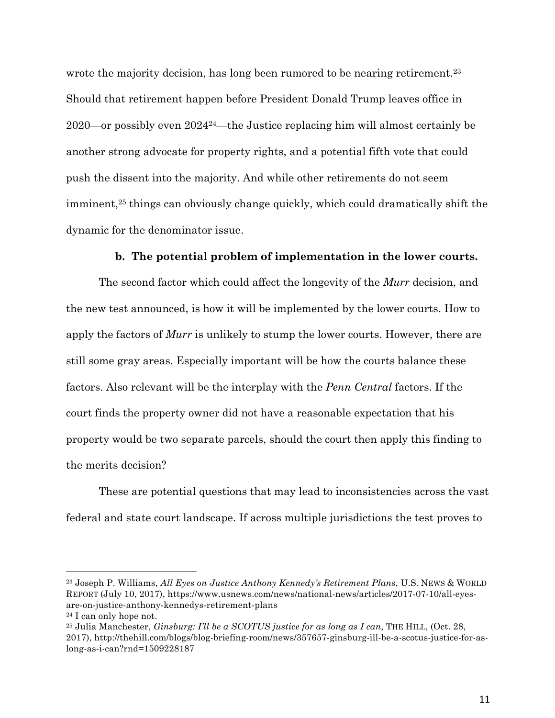wrote the majority decision, has long been rumored to be nearing retirement.<sup>23</sup> Should that retirement happen before President Donald Trump leaves office in 2020—or possibly even 202424—the Justice replacing him will almost certainly be another strong advocate for property rights, and a potential fifth vote that could push the dissent into the majority. And while other retirements do not seem imminent,<sup>25</sup> things can obviously change quickly, which could dramatically shift the dynamic for the denominator issue.

## **b. The potential problem of implementation in the lower courts.**

The second factor which could affect the longevity of the *Murr* decision, and the new test announced, is how it will be implemented by the lower courts. How to apply the factors of *Murr* is unlikely to stump the lower courts. However, there are still some gray areas. Especially important will be how the courts balance these factors. Also relevant will be the interplay with the *Penn Central* factors. If the court finds the property owner did not have a reasonable expectation that his property would be two separate parcels, should the court then apply this finding to the merits decision?

These are potential questions that may lead to inconsistencies across the vast federal and state court landscape. If across multiple jurisdictions the test proves to

<sup>23</sup> Joseph P. Williams, *All Eyes on Justice Anthony Kennedy's Retirement Plans*, U.S. NEWS & WORLD REPORT (July 10, 2017), https://www.usnews.com/news/national-news/articles/2017-07-10/all-eyesare-on-justice-anthony-kennedys-retirement-plans

<sup>24</sup> I can only hope not.

<sup>25</sup> Julia Manchester, *Ginsburg: I'll be a SCOTUS justice for as long as I can*, THE HILL, (Oct. 28, 2017), http://thehill.com/blogs/blog-briefing-room/news/357657-ginsburg-ill-be-a-scotus-justice-for-aslong-as-i-can?rnd=1509228187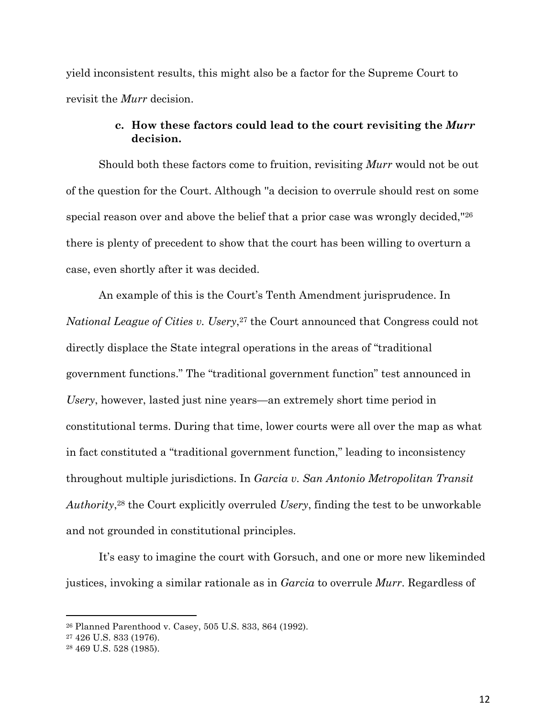yield inconsistent results, this might also be a factor for the Supreme Court to revisit the *Murr* decision.

# **c. How these factors could lead to the court revisiting the** *Murr* **decision.**

Should both these factors come to fruition, revisiting *Murr* would not be out of the question for the Court. Although ''a decision to overrule should rest on some special reason over and above the belief that a prior case was wrongly decided,''26 there is plenty of precedent to show that the court has been willing to overturn a case, even shortly after it was decided.

An example of this is the Court's Tenth Amendment jurisprudence. In *National League of Cities v. Usery*,<sup>27</sup> the Court announced that Congress could not directly displace the State integral operations in the areas of "traditional government functions." The "traditional government function" test announced in *Usery*, however, lasted just nine years—an extremely short time period in constitutional terms. During that time, lower courts were all over the map as what in fact constituted a "traditional government function," leading to inconsistency throughout multiple jurisdictions. In *Garcia v. San Antonio Metropolitan Transit Authority*,28 the Court explicitly overruled *Usery*, finding the test to be unworkable and not grounded in constitutional principles.

It's easy to imagine the court with Gorsuch, and one or more new likeminded justices, invoking a similar rationale as in *Garcia* to overrule *Murr*. Regardless of

<sup>26</sup> Planned Parenthood v. Casey, 505 U.S. 833, 864 (1992).

<sup>27</sup> 426 U.S. 833 (1976).

<sup>28</sup> 469 U.S. 528 (1985).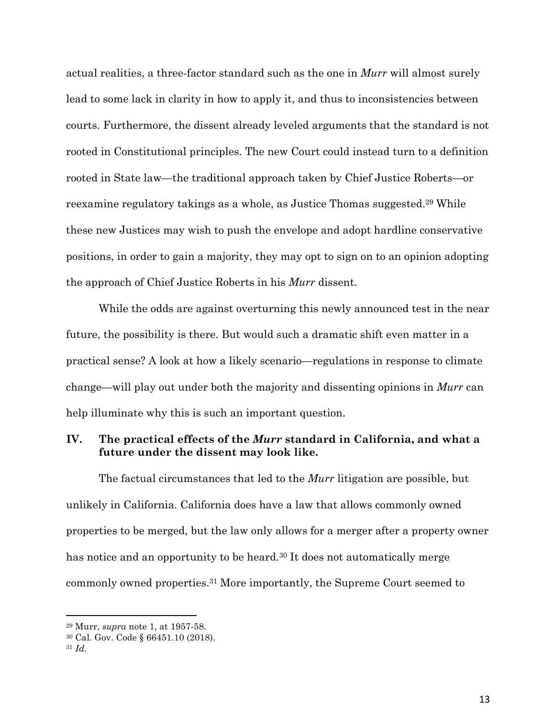actual realities, a three-factor standard such as the one in *Murr* will almost surely lead to some lack in clarity in how to apply it, and thus to inconsistencies between courts. Furthermore, the dissent already leveled arguments that the standard is not rooted in Constitutional principles. The new Court could instead turn to a definition rooted in State law—the traditional approach taken by Chief Justice Roberts—or reexamine regulatory takings as a whole, as Justice Thomas suggested.29 While these new Justices may wish to push the envelope and adopt hardline conservative positions, in order to gain a majority, they may opt to sign on to an opinion adopting the approach of Chief Justice Roberts in his *Murr* dissent.

While the odds are against overturning this newly announced test in the near future, the possibility is there. But would such a dramatic shift even matter in a practical sense? A look at how a likely scenario—regulations in response to climate change—will play out under both the majority and dissenting opinions in *Murr* can help illuminate why this is such an important question.

# **IV. The practical effects of the** *Murr* **standard in California, and what a future under the dissent may look like.**

The factual circumstances that led to the *Murr* litigation are possible, but unlikely in California. California does have a law that allows commonly owned properties to be merged, but the law only allows for a merger after a property owner has notice and an opportunity to be heard.<sup>30</sup> It does not automatically merge commonly owned properties.31 More importantly, the Supreme Court seemed to

 <sup>29</sup> Murr, *supra* note 1, at 1957-58.

<sup>30</sup> Cal. Gov. Code § 66451.10 (2018).

<sup>31</sup> *Id.*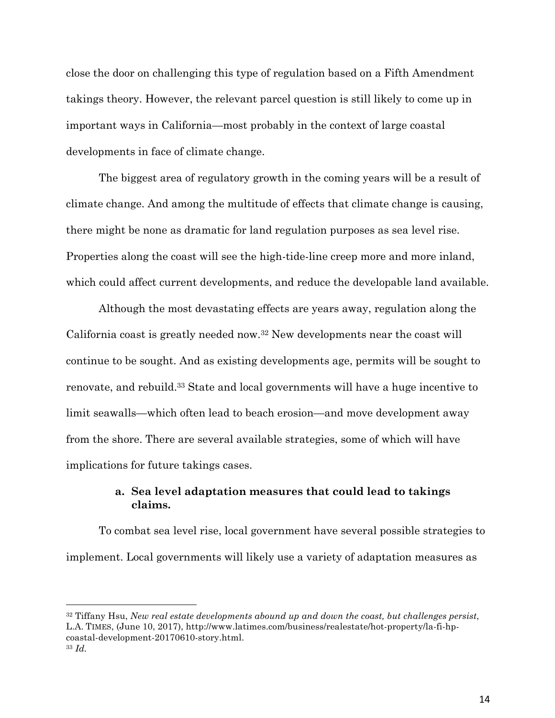close the door on challenging this type of regulation based on a Fifth Amendment takings theory. However, the relevant parcel question is still likely to come up in important ways in California—most probably in the context of large coastal developments in face of climate change.

The biggest area of regulatory growth in the coming years will be a result of climate change. And among the multitude of effects that climate change is causing, there might be none as dramatic for land regulation purposes as sea level rise. Properties along the coast will see the high-tide-line creep more and more inland, which could affect current developments, and reduce the developable land available.

Although the most devastating effects are years away, regulation along the California coast is greatly needed now.32 New developments near the coast will continue to be sought. And as existing developments age, permits will be sought to renovate, and rebuild.33 State and local governments will have a huge incentive to limit seawalls—which often lead to beach erosion—and move development away from the shore. There are several available strategies, some of which will have implications for future takings cases.

# **a. Sea level adaptation measures that could lead to takings claims.**

To combat sea level rise, local government have several possible strategies to implement. Local governments will likely use a variety of adaptation measures as

<sup>32</sup> Tiffany Hsu, *New real estate developments abound up and down the coast, but challenges persist*, L.A. TIMES, (June 10, 2017), http://www.latimes.com/business/realestate/hot-property/la-fi-hpcoastal-development-20170610-story.html.

<sup>33</sup> *Id.*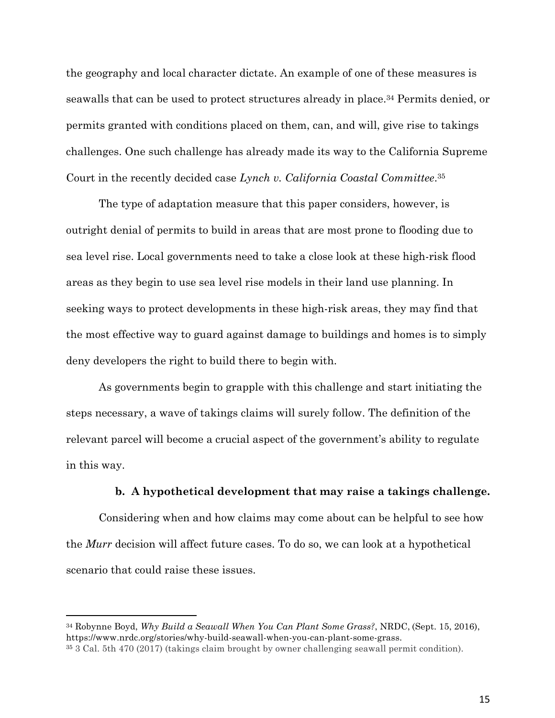the geography and local character dictate. An example of one of these measures is seawalls that can be used to protect structures already in place.34 Permits denied, or permits granted with conditions placed on them, can, and will, give rise to takings challenges. One such challenge has already made its way to the California Supreme Court in the recently decided case *Lynch v. California Coastal Committee*.35

The type of adaptation measure that this paper considers, however, is outright denial of permits to build in areas that are most prone to flooding due to sea level rise. Local governments need to take a close look at these high-risk flood areas as they begin to use sea level rise models in their land use planning. In seeking ways to protect developments in these high-risk areas, they may find that the most effective way to guard against damage to buildings and homes is to simply deny developers the right to build there to begin with.

As governments begin to grapple with this challenge and start initiating the steps necessary, a wave of takings claims will surely follow. The definition of the relevant parcel will become a crucial aspect of the government's ability to regulate in this way.

## **b. A hypothetical development that may raise a takings challenge.**

Considering when and how claims may come about can be helpful to see how the *Murr* decision will affect future cases. To do so, we can look at a hypothetical scenario that could raise these issues.

<sup>34</sup> Robynne Boyd, *Why Build a Seawall When You Can Plant Some Grass?*, NRDC, (Sept. 15, 2016), https://www.nrdc.org/stories/why-build-seawall-when-you-can-plant-some-grass.

<sup>35</sup> 3 Cal. 5th 470 (2017) (takings claim brought by owner challenging seawall permit condition).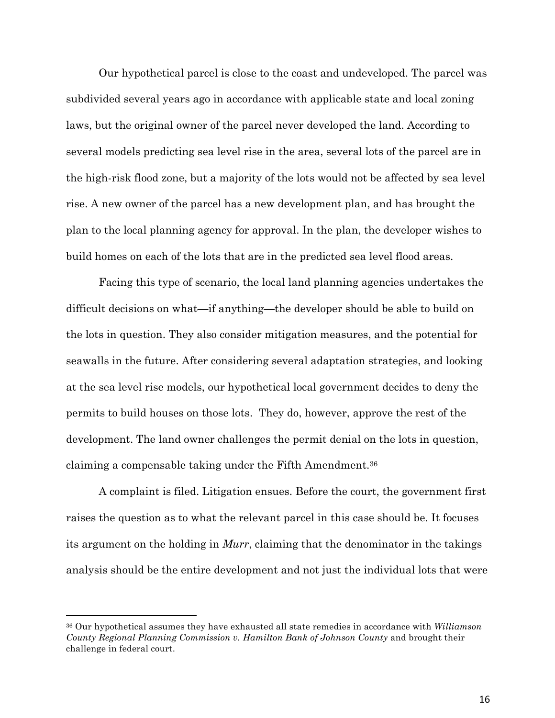Our hypothetical parcel is close to the coast and undeveloped. The parcel was subdivided several years ago in accordance with applicable state and local zoning laws, but the original owner of the parcel never developed the land. According to several models predicting sea level rise in the area, several lots of the parcel are in the high-risk flood zone, but a majority of the lots would not be affected by sea level rise. A new owner of the parcel has a new development plan, and has brought the plan to the local planning agency for approval. In the plan, the developer wishes to build homes on each of the lots that are in the predicted sea level flood areas.

Facing this type of scenario, the local land planning agencies undertakes the difficult decisions on what—if anything—the developer should be able to build on the lots in question. They also consider mitigation measures, and the potential for seawalls in the future. After considering several adaptation strategies, and looking at the sea level rise models, our hypothetical local government decides to deny the permits to build houses on those lots. They do, however, approve the rest of the development. The land owner challenges the permit denial on the lots in question, claiming a compensable taking under the Fifth Amendment.36

A complaint is filed. Litigation ensues. Before the court, the government first raises the question as to what the relevant parcel in this case should be. It focuses its argument on the holding in *Murr*, claiming that the denominator in the takings analysis should be the entire development and not just the individual lots that were

<sup>36</sup> Our hypothetical assumes they have exhausted all state remedies in accordance with *Williamson County Regional Planning Commission v. Hamilton Bank of Johnson County* and brought their challenge in federal court.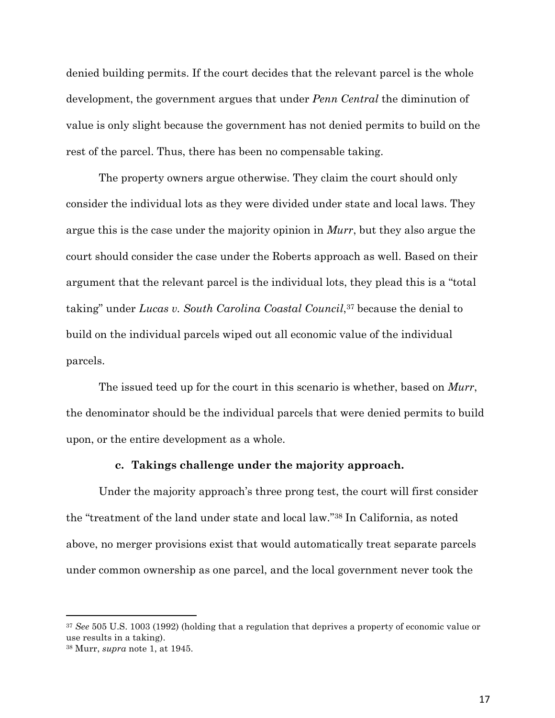denied building permits. If the court decides that the relevant parcel is the whole development, the government argues that under *Penn Central* the diminution of value is only slight because the government has not denied permits to build on the rest of the parcel. Thus, there has been no compensable taking.

The property owners argue otherwise. They claim the court should only consider the individual lots as they were divided under state and local laws. They argue this is the case under the majority opinion in *Murr*, but they also argue the court should consider the case under the Roberts approach as well. Based on their argument that the relevant parcel is the individual lots, they plead this is a "total taking" under *Lucas v. South Carolina Coastal Council*,37 because the denial to build on the individual parcels wiped out all economic value of the individual parcels.

The issued teed up for the court in this scenario is whether, based on *Murr*, the denominator should be the individual parcels that were denied permits to build upon, or the entire development as a whole.

#### **c. Takings challenge under the majority approach.**

Under the majority approach's three prong test, the court will first consider the "treatment of the land under state and local law."38 In California, as noted above, no merger provisions exist that would automatically treat separate parcels under common ownership as one parcel, and the local government never took the

<sup>37</sup> *See* 505 U.S. 1003 (1992) (holding that a regulation that deprives a property of economic value or use results in a taking).

<sup>38</sup> Murr, *supra* note 1, at 1945.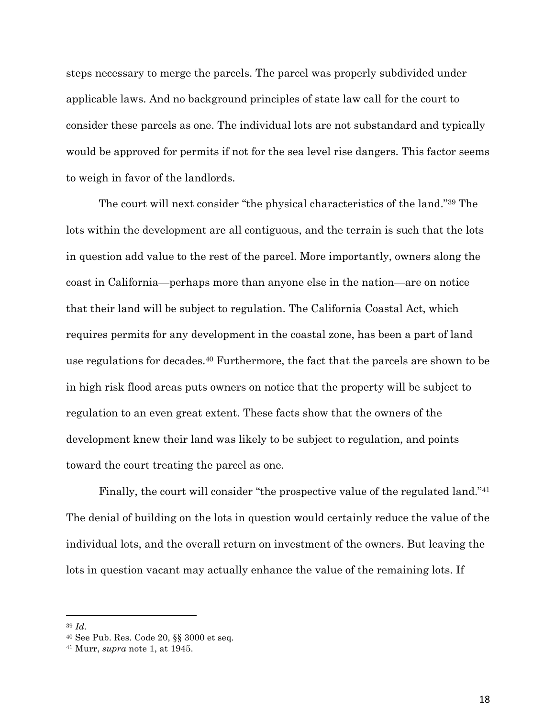steps necessary to merge the parcels. The parcel was properly subdivided under applicable laws. And no background principles of state law call for the court to consider these parcels as one. The individual lots are not substandard and typically would be approved for permits if not for the sea level rise dangers. This factor seems to weigh in favor of the landlords.

The court will next consider "the physical characteristics of the land."39 The lots within the development are all contiguous, and the terrain is such that the lots in question add value to the rest of the parcel. More importantly, owners along the coast in California—perhaps more than anyone else in the nation—are on notice that their land will be subject to regulation. The California Coastal Act, which requires permits for any development in the coastal zone, has been a part of land use regulations for decades.40 Furthermore, the fact that the parcels are shown to be in high risk flood areas puts owners on notice that the property will be subject to regulation to an even great extent. These facts show that the owners of the development knew their land was likely to be subject to regulation, and points toward the court treating the parcel as one.

Finally, the court will consider "the prospective value of the regulated land."41 The denial of building on the lots in question would certainly reduce the value of the individual lots, and the overall return on investment of the owners. But leaving the lots in question vacant may actually enhance the value of the remaining lots. If

<sup>39</sup> *Id.*

<sup>40</sup> See Pub. Res. Code 20, §§ 3000 et seq. 41 Murr, *supra* note 1, at 1945.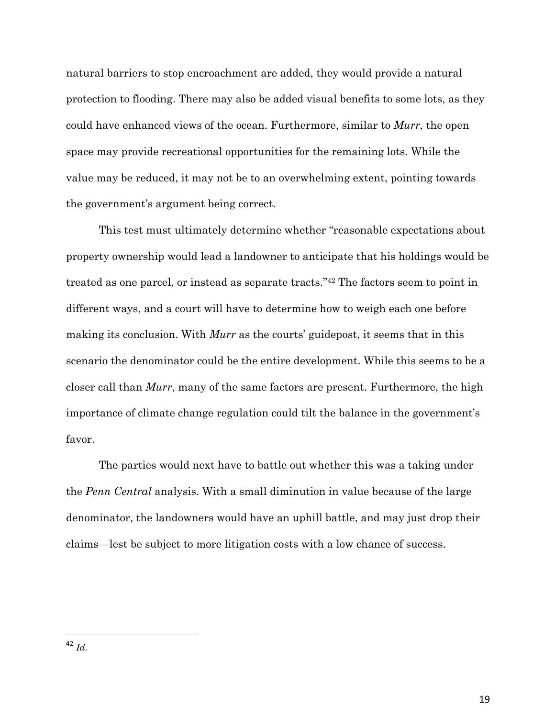natural barriers to stop encroachment are added, they would provide a natural protection to flooding. There may also be added visual benefits to some lots, as they could have enhanced views of the ocean. Furthermore, similar to *Murr*, the open space may provide recreational opportunities for the remaining lots. While the value may be reduced, it may not be to an overwhelming extent, pointing towards the government's argument being correct.

This test must ultimately determine whether "reasonable expectations about property ownership would lead a landowner to anticipate that his holdings would be treated as one parcel, or instead as separate tracts."42 The factors seem to point in different ways, and a court will have to determine how to weigh each one before making its conclusion. With *Murr* as the courts' guidepost, it seems that in this scenario the denominator could be the entire development. While this seems to be a closer call than *Murr*, many of the same factors are present. Furthermore, the high importance of climate change regulation could tilt the balance in the government's favor.

The parties would next have to battle out whether this was a taking under the *Penn Central* analysis. With a small diminution in value because of the large denominator, the landowners would have an uphill battle, and may just drop their claims—lest be subject to more litigation costs with a low chance of success.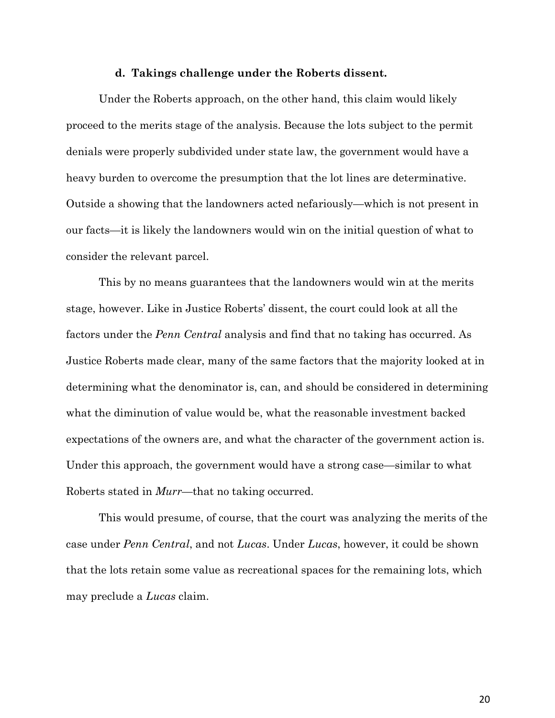#### **d. Takings challenge under the Roberts dissent.**

Under the Roberts approach, on the other hand, this claim would likely proceed to the merits stage of the analysis. Because the lots subject to the permit denials were properly subdivided under state law, the government would have a heavy burden to overcome the presumption that the lot lines are determinative. Outside a showing that the landowners acted nefariously—which is not present in our facts—it is likely the landowners would win on the initial question of what to consider the relevant parcel.

This by no means guarantees that the landowners would win at the merits stage, however. Like in Justice Roberts' dissent, the court could look at all the factors under the *Penn Central* analysis and find that no taking has occurred. As Justice Roberts made clear, many of the same factors that the majority looked at in determining what the denominator is, can, and should be considered in determining what the diminution of value would be, what the reasonable investment backed expectations of the owners are, and what the character of the government action is. Under this approach, the government would have a strong case—similar to what Roberts stated in *Murr*—that no taking occurred.

This would presume, of course, that the court was analyzing the merits of the case under *Penn Central*, and not *Lucas*. Under *Lucas*, however, it could be shown that the lots retain some value as recreational spaces for the remaining lots, which may preclude a *Lucas* claim.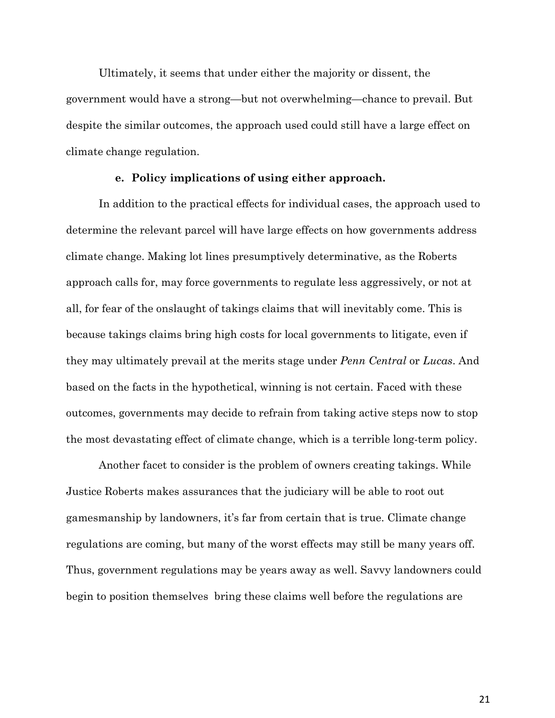Ultimately, it seems that under either the majority or dissent, the government would have a strong—but not overwhelming—chance to prevail. But despite the similar outcomes, the approach used could still have a large effect on climate change regulation.

#### **e. Policy implications of using either approach.**

In addition to the practical effects for individual cases, the approach used to determine the relevant parcel will have large effects on how governments address climate change. Making lot lines presumptively determinative, as the Roberts approach calls for, may force governments to regulate less aggressively, or not at all, for fear of the onslaught of takings claims that will inevitably come. This is because takings claims bring high costs for local governments to litigate, even if they may ultimately prevail at the merits stage under *Penn Central* or *Lucas*. And based on the facts in the hypothetical, winning is not certain. Faced with these outcomes, governments may decide to refrain from taking active steps now to stop the most devastating effect of climate change, which is a terrible long-term policy.

Another facet to consider is the problem of owners creating takings. While Justice Roberts makes assurances that the judiciary will be able to root out gamesmanship by landowners, it's far from certain that is true. Climate change regulations are coming, but many of the worst effects may still be many years off. Thus, government regulations may be years away as well. Savvy landowners could begin to position themselves bring these claims well before the regulations are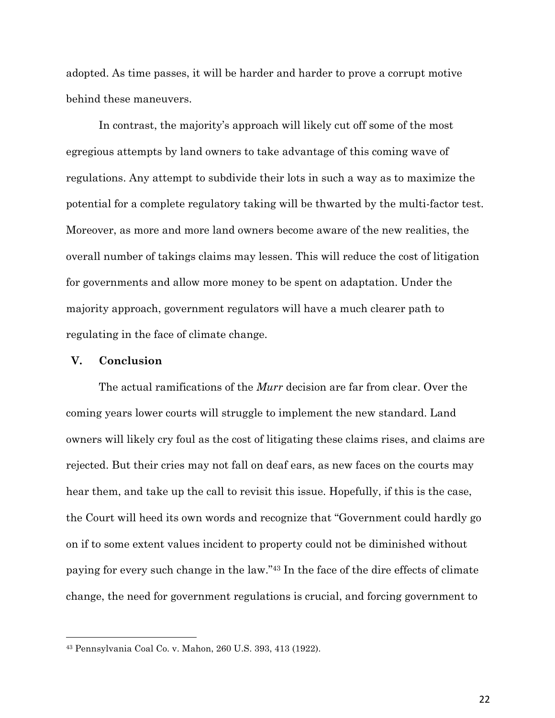adopted. As time passes, it will be harder and harder to prove a corrupt motive behind these maneuvers.

In contrast, the majority's approach will likely cut off some of the most egregious attempts by land owners to take advantage of this coming wave of regulations. Any attempt to subdivide their lots in such a way as to maximize the potential for a complete regulatory taking will be thwarted by the multi-factor test. Moreover, as more and more land owners become aware of the new realities, the overall number of takings claims may lessen. This will reduce the cost of litigation for governments and allow more money to be spent on adaptation. Under the majority approach, government regulators will have a much clearer path to regulating in the face of climate change.

## **V. Conclusion**

The actual ramifications of the *Murr* decision are far from clear. Over the coming years lower courts will struggle to implement the new standard. Land owners will likely cry foul as the cost of litigating these claims rises, and claims are rejected. But their cries may not fall on deaf ears, as new faces on the courts may hear them, and take up the call to revisit this issue. Hopefully, if this is the case, the Court will heed its own words and recognize that "Government could hardly go on if to some extent values incident to property could not be diminished without paying for every such change in the law."43 In the face of the dire effects of climate change, the need for government regulations is crucial, and forcing government to

<sup>43</sup> Pennsylvania Coal Co. v. Mahon, 260 U.S. 393, 413 (1922).